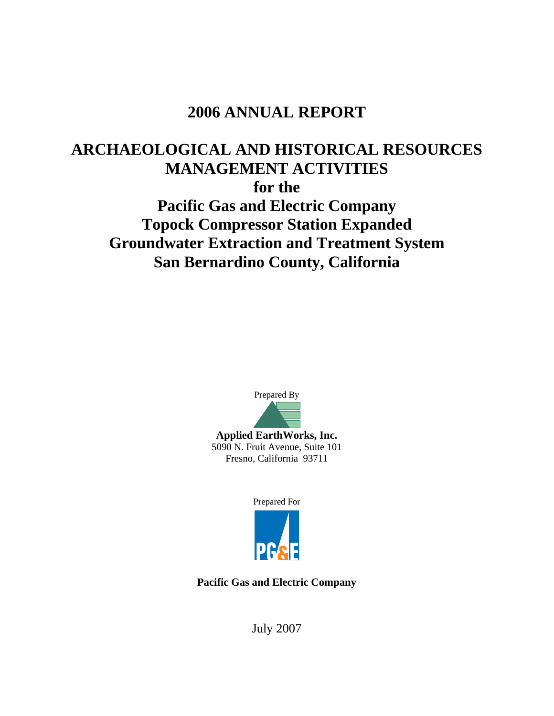## **2006 ANNUAL REPORT**

# **ARCHAEOLOGICAL AND HISTORICAL RESOURCES MANAGEMENT ACTIVITIES for the Pacific Gas and Electric Company Topock Compressor Station Expanded Groundwater Extraction and Treatment System San Bernardino County, California**



**Applied EarthWorks, Inc.**  5090 N. Fruit Avenue, Suite 101 Fresno, California 93711





**Pacific Gas and Electric Company** 

July 2007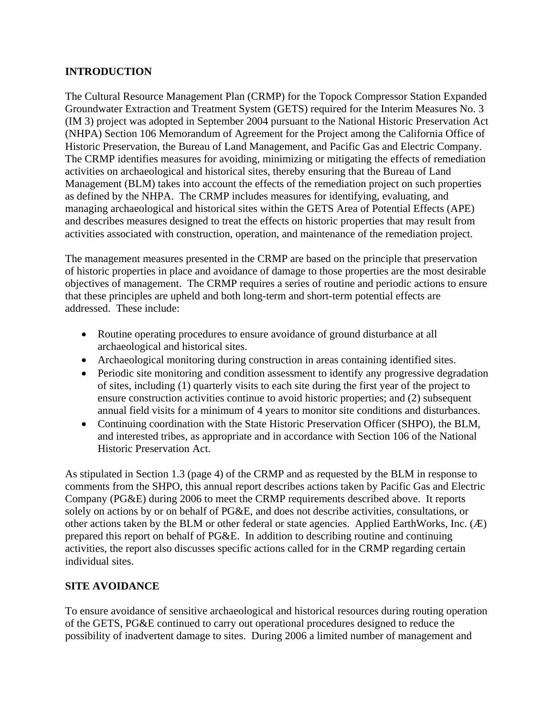#### **INTRODUCTION**

The Cultural Resource Management Plan (CRMP) for the Topock Compressor Station Expanded Groundwater Extraction and Treatment System (GETS) required for the Interim Measures No. 3 (IM 3) project was adopted in September 2004 pursuant to the National Historic Preservation Act (NHPA) Section 106 Memorandum of Agreement for the Project among the California Office of Historic Preservation, the Bureau of Land Management, and Pacific Gas and Electric Company. The CRMP identifies measures for avoiding, minimizing or mitigating the effects of remediation activities on archaeological and historical sites, thereby ensuring that the Bureau of Land Management (BLM) takes into account the effects of the remediation project on such properties as defined by the NHPA. The CRMP includes measures for identifying, evaluating, and managing archaeological and historical sites within the GETS Area of Potential Effects (APE) and describes measures designed to treat the effects on historic properties that may result from activities associated with construction, operation, and maintenance of the remediation project.

The management measures presented in the CRMP are based on the principle that preservation of historic properties in place and avoidance of damage to those properties are the most desirable objectives of management. The CRMP requires a series of routine and periodic actions to ensure that these principles are upheld and both long-term and short-term potential effects are addressed. These include:

- Routine operating procedures to ensure avoidance of ground disturbance at all archaeological and historical sites.
- Archaeological monitoring during construction in areas containing identified sites.
- Periodic site monitoring and condition assessment to identify any progressive degradation of sites, including (1) quarterly visits to each site during the first year of the project to ensure construction activities continue to avoid historic properties; and (2) subsequent annual field visits for a minimum of 4 years to monitor site conditions and disturbances.
- Continuing coordination with the State Historic Preservation Officer (SHPO), the BLM, and interested tribes, as appropriate and in accordance with Section 106 of the National Historic Preservation Act.

As stipulated in Section 1.3 (page 4) of the CRMP and as requested by the BLM in response to comments from the SHPO, this annual report describes actions taken by Pacific Gas and Electric Company (PG&E) during 2006 to meet the CRMP requirements described above. It reports solely on actions by or on behalf of PG&E, and does not describe activities, consultations, or other actions taken by the BLM or other federal or state agencies. Applied EarthWorks, Inc. (Æ) prepared this report on behalf of PG&E. In addition to describing routine and continuing activities, the report also discusses specific actions called for in the CRMP regarding certain individual sites.

## **SITE AVOIDANCE**

To ensure avoidance of sensitive archaeological and historical resources during routing operation of the GETS, PG&E continued to carry out operational procedures designed to reduce the possibility of inadvertent damage to sites. During 2006 a limited number of management and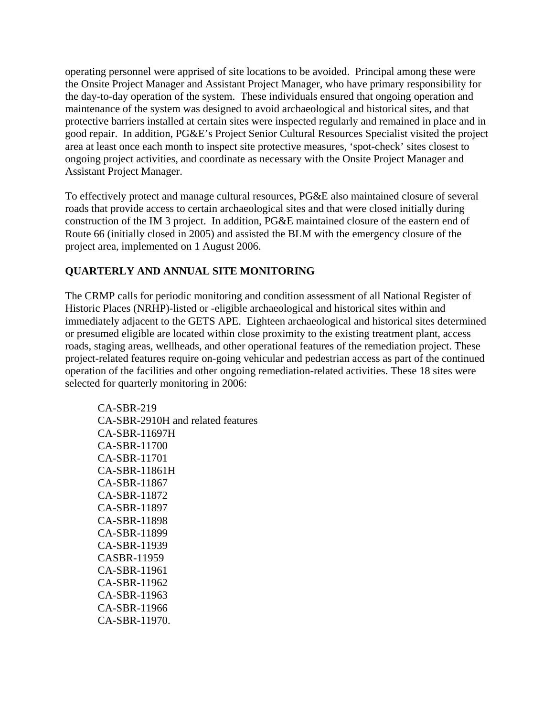operating personnel were apprised of site locations to be avoided. Principal among these were the Onsite Project Manager and Assistant Project Manager, who have primary responsibility for the day-to-day operation of the system. These individuals ensured that ongoing operation and maintenance of the system was designed to avoid archaeological and historical sites, and that protective barriers installed at certain sites were inspected regularly and remained in place and in good repair. In addition, PG&E's Project Senior Cultural Resources Specialist visited the project area at least once each month to inspect site protective measures, 'spot-check' sites closest to ongoing project activities, and coordinate as necessary with the Onsite Project Manager and Assistant Project Manager.

To effectively protect and manage cultural resources, PG&E also maintained closure of several roads that provide access to certain archaeological sites and that were closed initially during construction of the IM 3 project. In addition, PG&E maintained closure of the eastern end of Route 66 (initially closed in 2005) and assisted the BLM with the emergency closure of the project area, implemented on 1 August 2006.

## **QUARTERLY AND ANNUAL SITE MONITORING**

The CRMP calls for periodic monitoring and condition assessment of all National Register of Historic Places (NRHP)-listed or -eligible archaeological and historical sites within and immediately adjacent to the GETS APE. Eighteen archaeological and historical sites determined or presumed eligible are located within close proximity to the existing treatment plant, access roads, staging areas, wellheads, and other operational features of the remediation project. These project-related features require on-going vehicular and pedestrian access as part of the continued operation of the facilities and other ongoing remediation-related activities. These 18 sites were selected for quarterly monitoring in 2006:

CA-SBR-219 CA-SBR-2910H and related features CA-SBR-11697H CA-SBR-11700 CA-SBR-11701 CA-SBR-11861H CA-SBR-11867 CA-SBR-11872 CA-SBR-11897 CA-SBR-11898 CA-SBR-11899 CA-SBR-11939 CASBR-11959 CA-SBR-11961 CA-SBR-11962 CA-SBR-11963 CA-SBR-11966 CA-SBR-11970.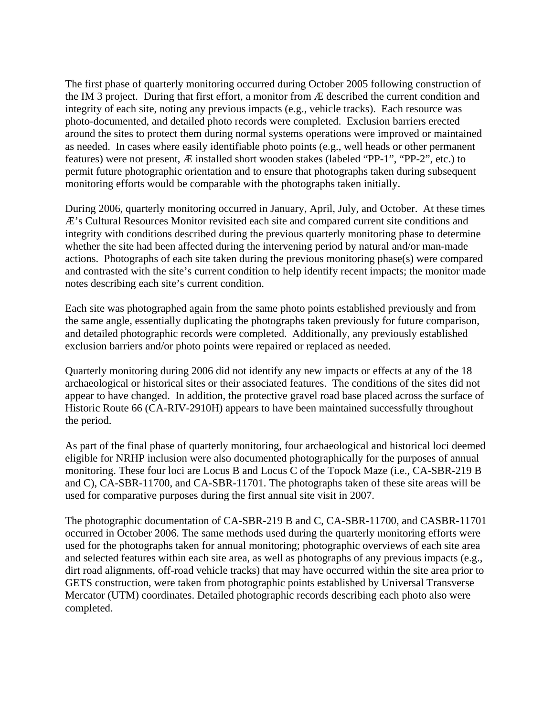The first phase of quarterly monitoring occurred during October 2005 following construction of the IM 3 project. During that first effort, a monitor from Æ described the current condition and integrity of each site, noting any previous impacts (e.g., vehicle tracks). Each resource was photo-documented, and detailed photo records were completed. Exclusion barriers erected around the sites to protect them during normal systems operations were improved or maintained as needed. In cases where easily identifiable photo points (e.g., well heads or other permanent features) were not present, Æ installed short wooden stakes (labeled "PP-1", "PP-2", etc.) to permit future photographic orientation and to ensure that photographs taken during subsequent monitoring efforts would be comparable with the photographs taken initially.

During 2006, quarterly monitoring occurred in January, April, July, and October. At these times Æ's Cultural Resources Monitor revisited each site and compared current site conditions and integrity with conditions described during the previous quarterly monitoring phase to determine whether the site had been affected during the intervening period by natural and/or man-made actions. Photographs of each site taken during the previous monitoring phase(s) were compared and contrasted with the site's current condition to help identify recent impacts; the monitor made notes describing each site's current condition.

Each site was photographed again from the same photo points established previously and from the same angle, essentially duplicating the photographs taken previously for future comparison, and detailed photographic records were completed. Additionally, any previously established exclusion barriers and/or photo points were repaired or replaced as needed.

Quarterly monitoring during 2006 did not identify any new impacts or effects at any of the 18 archaeological or historical sites or their associated features. The conditions of the sites did not appear to have changed. In addition, the protective gravel road base placed across the surface of Historic Route 66 (CA-RIV-2910H) appears to have been maintained successfully throughout the period.

As part of the final phase of quarterly monitoring, four archaeological and historical loci deemed eligible for NRHP inclusion were also documented photographically for the purposes of annual monitoring. These four loci are Locus B and Locus C of the Topock Maze (i.e., CA-SBR-219 B and C), CA-SBR-11700, and CA-SBR-11701. The photographs taken of these site areas will be used for comparative purposes during the first annual site visit in 2007.

The photographic documentation of CA-SBR-219 B and C, CA-SBR-11700, and CASBR-11701 occurred in October 2006. The same methods used during the quarterly monitoring efforts were used for the photographs taken for annual monitoring; photographic overviews of each site area and selected features within each site area, as well as photographs of any previous impacts (e.g., dirt road alignments, off-road vehicle tracks) that may have occurred within the site area prior to GETS construction, were taken from photographic points established by Universal Transverse Mercator (UTM) coordinates. Detailed photographic records describing each photo also were completed.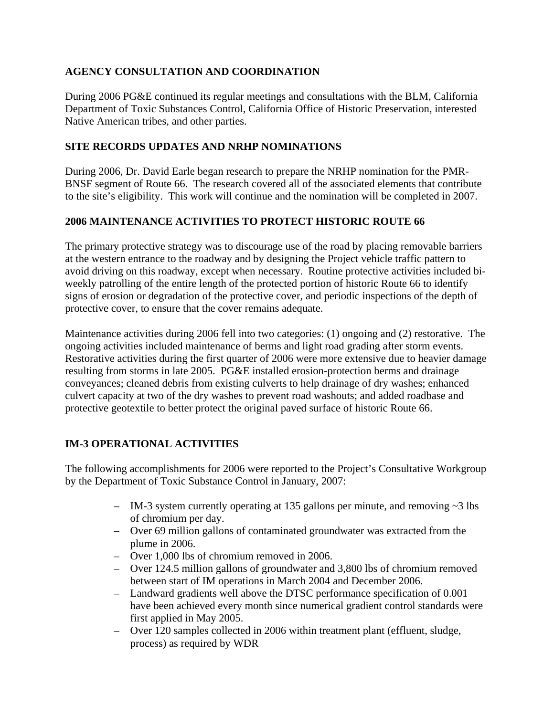## **AGENCY CONSULTATION AND COORDINATION**

During 2006 PG&E continued its regular meetings and consultations with the BLM, California Department of Toxic Substances Control, California Office of Historic Preservation, interested Native American tribes, and other parties.

#### **SITE RECORDS UPDATES AND NRHP NOMINATIONS**

During 2006, Dr. David Earle began research to prepare the NRHP nomination for the PMR-BNSF segment of Route 66. The research covered all of the associated elements that contribute to the site's eligibility. This work will continue and the nomination will be completed in 2007.

#### **2006 MAINTENANCE ACTIVITIES TO PROTECT HISTORIC ROUTE 66**

The primary protective strategy was to discourage use of the road by placing removable barriers at the western entrance to the roadway and by designing the Project vehicle traffic pattern to avoid driving on this roadway, except when necessary. Routine protective activities included biweekly patrolling of the entire length of the protected portion of historic Route 66 to identify signs of erosion or degradation of the protective cover, and periodic inspections of the depth of protective cover, to ensure that the cover remains adequate.

Maintenance activities during 2006 fell into two categories: (1) ongoing and (2) restorative. The ongoing activities included maintenance of berms and light road grading after storm events. Restorative activities during the first quarter of 2006 were more extensive due to heavier damage resulting from storms in late 2005. PG&E installed erosion-protection berms and drainage conveyances; cleaned debris from existing culverts to help drainage of dry washes; enhanced culvert capacity at two of the dry washes to prevent road washouts; and added roadbase and protective geotextile to better protect the original paved surface of historic Route 66.

#### **IM-3 OPERATIONAL ACTIVITIES**

The following accomplishments for 2006 were reported to the Project's Consultative Workgroup by the Department of Toxic Substance Control in January, 2007:

- IM-3 system currently operating at 135 gallons per minute, and removing ~3 lbs of chromium per day.
- Over 69 million gallons of contaminated groundwater was extracted from the plume in 2006.
- Over 1,000 lbs of chromium removed in 2006.
- Over 124.5 million gallons of groundwater and 3,800 lbs of chromium removed between start of IM operations in March 2004 and December 2006.
- Landward gradients well above the DTSC performance specification of 0.001 have been achieved every month since numerical gradient control standards were first applied in May 2005.
- Over 120 samples collected in 2006 within treatment plant (effluent, sludge, process) as required by WDR